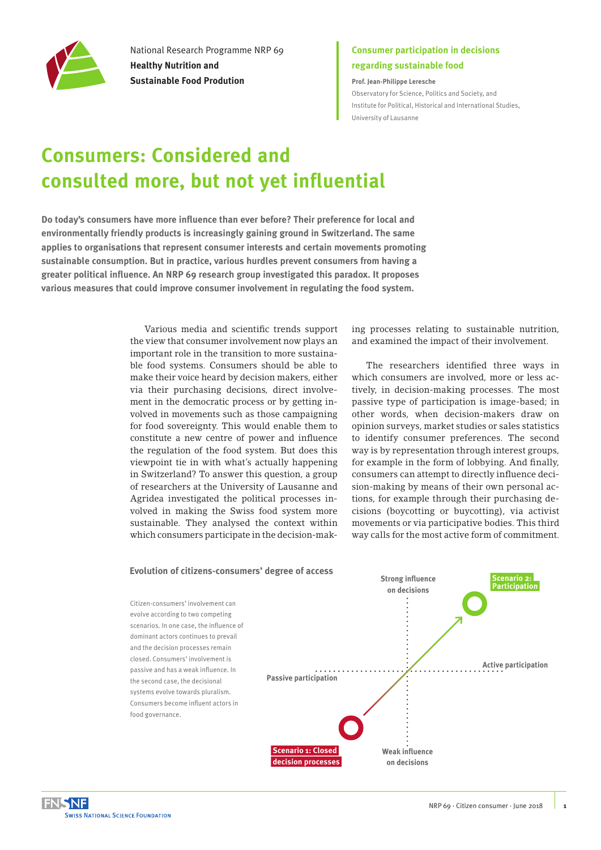

National Research Programme NRP 69 **Healthy Nutrition and Sustainable Food Prodution**

## **Consumer participation in decisions regarding sustainable food**

**Prof. Jean-Philippe Leresche** [Observatory for Science, Politics and Society](https://applicationspub.unil.ch/interpub/noauth/php/Un/UnUnite.php?UnId=292&LanCode=8), and [Institute for Political, Historical and International Studies,](https://applicationspub.unil.ch/interpub/noauth/php/Un/UnUnite.php?UnId=137&LanCode=8)  [University of Lausanne](https://applicationspub.unil.ch/interpub/noauth/php/Un/UnUnite.php?UnId=137&LanCode=8)

## **Consumers: Considered and consulted more, but not yet influential**

**Do today's consumers have more influence than ever before? Their preference for local and environmentally friendly products is increasingly gaining ground in Switzerland. The same applies to organisations that represent consumer interests and certain movements promoting sustainable consumption. But in practice, various hurdles prevent consumers from having a greater political influence. An NRP 69 research group investigated this paradox. It proposes various measures that could improve consumer involvement in regulating the food system.** 

> Various media and scientific trends support the view that consumer involvement now plays an important role in the transition to more sustainable food systems. Consumers should be able to make their voice heard by decision makers, either via their purchasing decisions, direct involvement in the democratic process or by getting involved in movements such as those campaigning for food sovereignty. This would enable them to constitute a new centre of power and influence the regulation of the food system. But does this viewpoint tie in with what's actually happening in Switzerland? To answer this question, a group of researchers at the University of Lausanne and Agridea investigated the political processes involved in making the Swiss food system more sustainable. They analysed the context within which consumers participate in the decision-mak

ing processes relating to sustainable nutrition, and examined the impact of their involvement.

The researchers identified three ways in which consumers are involved, more or less actively, in decision-making processes. The most passive type of participation is image-based; in other words, when decision-makers draw on opinion surveys, market studies or sales statistics to identify consumer preferences. The second way is by representation through interest groups, for example in the form of lobbying. And finally, consumers can attempt to directly influence decision-making by means of their own personal actions, for example through their purchasing decisions (boycotting or buycotting), via activist movements or via participative bodies. This third way calls for the most active form of commitment.